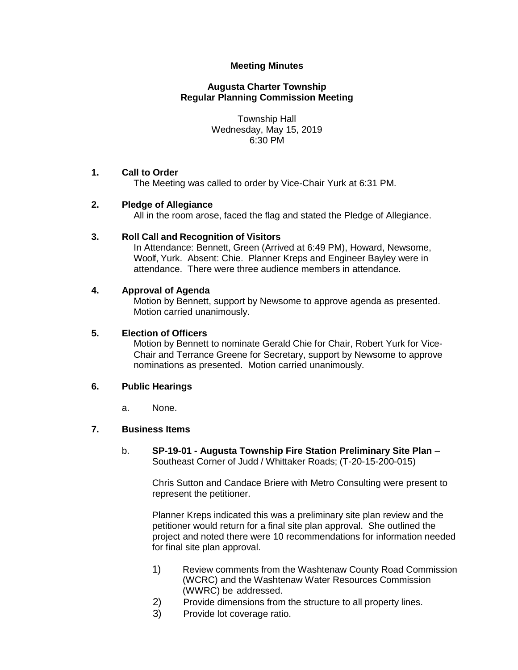# **Meeting Minutes**

## **Augusta Charter Township Regular Planning Commission Meeting**

Township Hall Wednesday, May 15, 2019 6:30 PM

## **1. Call to Order**

The Meeting was called to order by Vice-Chair Yurk at 6:31 PM.

## **2. Pledge of Allegiance**

All in the room arose, faced the flag and stated the Pledge of Allegiance.

### **3. Roll Call and Recognition of Visitors**

In Attendance: Bennett, Green (Arrived at 6:49 PM), Howard, Newsome, Woolf, Yurk. Absent: Chie. Planner Kreps and Engineer Bayley were in attendance. There were three audience members in attendance.

## **4. Approval of Agenda**

Motion by Bennett, support by Newsome to approve agenda as presented. Motion carried unanimously.

### **5. Election of Officers**

Motion by Bennett to nominate Gerald Chie for Chair, Robert Yurk for Vice-Chair and Terrance Greene for Secretary, support by Newsome to approve nominations as presented. Motion carried unanimously.

### **6. Public Hearings**

a. None.

### **7. Business Items**

b. **SP-19-01 - Augusta Township Fire Station Preliminary Site Plan** – Southeast Corner of Judd / Whittaker Roads; (T-20-15-200-015)

Chris Sutton and Candace Briere with Metro Consulting were present to represent the petitioner.

Planner Kreps indicated this was a preliminary site plan review and the petitioner would return for a final site plan approval. She outlined the project and noted there were 10 recommendations for information needed for final site plan approval.

- 1) Review comments from the Washtenaw County Road Commission (WCRC) and the Washtenaw Water Resources Commission (WWRC) be addressed.
- 2) Provide dimensions from the structure to all property lines.
- 3) Provide lot coverage ratio.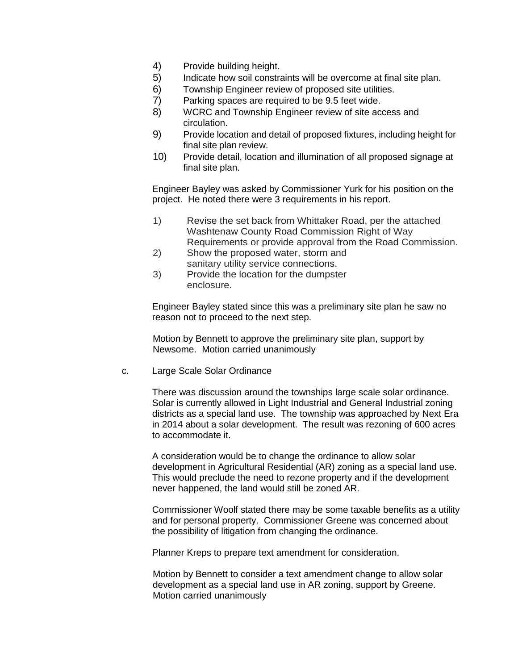- 4) Provide building height.
- 5) Indicate how soil constraints will be overcome at final site plan.
- 6) Township Engineer review of proposed site utilities.
- 7) Parking spaces are required to be 9.5 feet wide.
- 8) WCRC and Township Engineer review of site access and circulation.
- 9) Provide location and detail of proposed fixtures, including height for final site plan review.
- 10) Provide detail, location and illumination of all proposed signage at final site plan.

Engineer Bayley was asked by Commissioner Yurk for his position on the project. He noted there were 3 requirements in his report.

- 1) Revise the set back from Whittaker Road, per the attached Washtenaw County Road Commission Right of Way Requirements or provide approval from the Road Commission.
- 2) Show the proposed water, storm and sanitary utility service connections.
- 3) Provide the location for the dumpster enclosure.

Engineer Bayley stated since this was a preliminary site plan he saw no reason not to proceed to the next step.

Motion by Bennett to approve the preliminary site plan, support by Newsome. Motion carried unanimously

c. Large Scale Solar Ordinance

There was discussion around the townships large scale solar ordinance. Solar is currently allowed in Light Industrial and General Industrial zoning districts as a special land use. The township was approached by Next Era in 2014 about a solar development. The result was rezoning of 600 acres to accommodate it.

A consideration would be to change the ordinance to allow solar development in Agricultural Residential (AR) zoning as a special land use. This would preclude the need to rezone property and if the development never happened, the land would still be zoned AR.

Commissioner Woolf stated there may be some taxable benefits as a utility and for personal property. Commissioner Greene was concerned about the possibility of litigation from changing the ordinance.

Planner Kreps to prepare text amendment for consideration.

Motion by Bennett to consider a text amendment change to allow solar development as a special land use in AR zoning, support by Greene. Motion carried unanimously